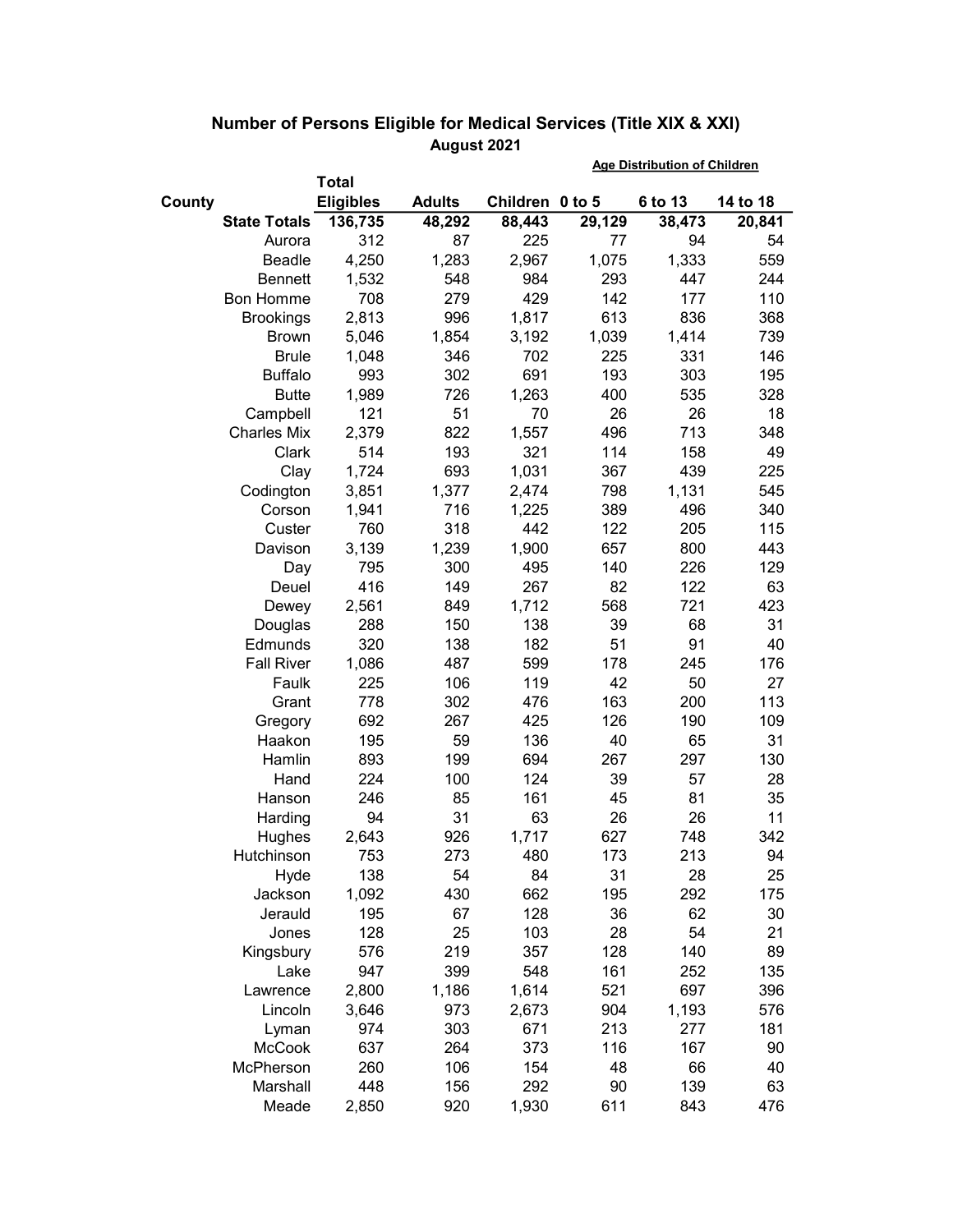|        |                     | <b>Total</b>     |               |                 |        |         |          |
|--------|---------------------|------------------|---------------|-----------------|--------|---------|----------|
| County |                     | <b>Eligibles</b> | <b>Adults</b> | Children 0 to 5 |        | 6 to 13 | 14 to 18 |
|        | <b>State Totals</b> | 136,735          | 48,292        | 88,443          | 29,129 | 38,473  | 20,841   |
|        | Aurora              | 312              | 87            | 225             | 77     | 94      | 54       |
|        | <b>Beadle</b>       | 4,250            | 1,283         | 2,967           | 1,075  | 1,333   | 559      |
|        | <b>Bennett</b>      | 1,532            | 548           | 984             | 293    | 447     | 244      |
|        | <b>Bon Homme</b>    | 708              | 279           | 429             | 142    | 177     | 110      |
|        | <b>Brookings</b>    | 2,813            | 996           | 1,817           | 613    | 836     | 368      |
|        | <b>Brown</b>        | 5,046            | 1,854         | 3,192           | 1,039  | 1,414   | 739      |
|        | <b>Brule</b>        | 1,048            | 346           | 702             | 225    | 331     | 146      |
|        | <b>Buffalo</b>      | 993              | 302           | 691             | 193    | 303     | 195      |
|        | <b>Butte</b>        | 1,989            | 726           | 1,263           | 400    | 535     | 328      |
|        | Campbell            | 121              | 51            | 70              | 26     | 26      | 18       |
|        | <b>Charles Mix</b>  | 2,379            | 822           | 1,557           | 496    | 713     | 348      |
|        | Clark               | 514              | 193           | 321             | 114    | 158     | 49       |
|        | Clay                | 1,724            | 693           | 1,031           | 367    | 439     | 225      |
|        | Codington           | 3,851            | 1,377         | 2,474           | 798    | 1,131   | 545      |
|        | Corson              | 1,941            | 716           | 1,225           | 389    | 496     | 340      |
|        | Custer              | 760              | 318           | 442             | 122    | 205     | 115      |
|        | Davison             | 3,139            | 1,239         | 1,900           | 657    | 800     | 443      |
|        | Day                 | 795              | 300           | 495             | 140    | 226     | 129      |
|        | Deuel               | 416              | 149           | 267             | 82     | 122     | 63       |
|        | Dewey               | 2,561            | 849           | 1,712           | 568    | 721     | 423      |
|        | Douglas             | 288              | 150           | 138             | 39     | 68      | 31       |
|        | Edmunds             | 320              | 138           | 182             | 51     | 91      | 40       |
|        | <b>Fall River</b>   | 1,086            | 487           | 599             | 178    | 245     | 176      |
|        | Faulk               | 225              | 106           | 119             | 42     | 50      | 27       |
|        | Grant               | 778              | 302           | 476             | 163    | 200     | 113      |
|        | Gregory             | 692              | 267           | 425             | 126    | 190     | 109      |
|        | Haakon              | 195              | 59            | 136             | 40     | 65      | 31       |
|        | Hamlin              | 893              | 199           | 694             | 267    | 297     | 130      |
|        | Hand                | 224              | 100           | 124             | 39     | 57      | 28       |
|        | Hanson              | 246              | 85            | 161             | 45     | 81      | 35       |
|        | Harding             | 94               | 31            | 63              | 26     | 26      | 11       |
|        | Hughes              | 2,643            | 926           | 1,717           | 627    | 748     | 342      |
|        | Hutchinson          | 753              | 273           | 480             | 173    | 213     | 94       |
|        | Hyde                | 138              | 54            | 84              | 31     | 28      | 25       |
|        | Jackson             | 1,092            | 430           | 662             | 195    | 292     | 175      |
|        | Jerauld             | 195              | 67            | 128             | 36     | 62      | 30       |
|        | Jones               | 128              | 25            | 103             | 28     | 54      | 21       |
|        | Kingsbury           | 576              | 219           | 357             | 128    | 140     | 89       |
|        | Lake                | 947              | 399           | 548             | 161    | 252     | 135      |
|        | Lawrence            | 2,800            | 1,186         | 1,614           | 521    | 697     | 396      |
|        | Lincoln             | 3,646            | 973           | 2,673           | 904    | 1,193   | 576      |
|        | Lyman               | 974              | 303           | 671             | 213    | 277     | 181      |
|        | <b>McCook</b>       | 637              | 264           | 373             | 116    | 167     | 90       |
|        | McPherson           | 260              | 106           | 154             | 48     | 66      | 40       |
|        | Marshall            | 448              | 156           | 292             | 90     | 139     | 63       |
|        | Meade               | 2,850            | 920           | 1,930           | 611    | 843     | 476      |

## Number of Persons Eligible for Medical Services (Title XIX & XXI) August 2021 Age Distribution of Children